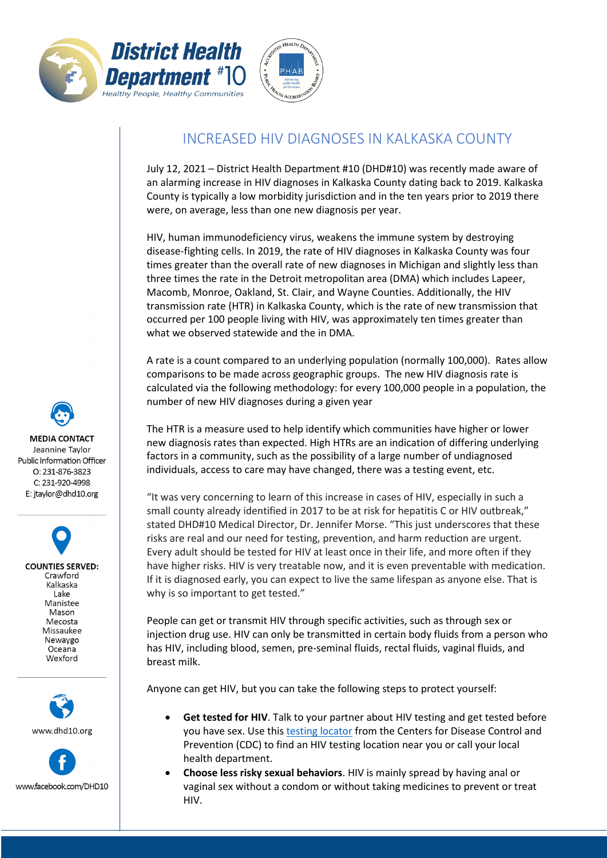



## INCREASED HIV DIAGNOSES IN KALKASKA COUNTY

July 12, 2021 – District Health Department #10 (DHD#10) was recently made aware of an alarming increase in HIV diagnoses in Kalkaska County dating back to 2019. Kalkaska County is typically a low morbidity jurisdiction and in the ten years prior to 2019 there were, on average, less than one new diagnosis per year.

HIV, human immunodeficiency virus, weakens the immune system by destroying disease-fighting cells. In 2019, the rate of HIV diagnoses in Kalkaska County was four times greater than the overall rate of new diagnoses in Michigan and slightly less than three times the rate in the Detroit metropolitan area (DMA) which includes Lapeer, Macomb, Monroe, Oakland, St. Clair, and Wayne Counties. Additionally, the HIV transmission rate (HTR) in Kalkaska County, which is the rate of new transmission that occurred per 100 people living with HIV, was approximately ten times greater than what we observed statewide and the in DMA.

A rate is a count compared to an underlying population (normally 100,000). Rates allow comparisons to be made across geographic groups. The new HIV diagnosis rate is calculated via the following methodology: for every 100,000 people in a population, the number of new HIV diagnoses during a given year

The HTR is a measure used to help identify which communities have higher or lower new diagnosis rates than expected. High HTRs are an indication of differing underlying factors in a community, such as the possibility of a large number of undiagnosed individuals, access to care may have changed, there was a testing event, etc.

"It was very concerning to learn of this increase in cases of HIV, especially in such a small county already identified in 2017 to be at risk for hepatitis C or HIV outbreak," stated DHD#10 Medical Director, Dr. Jennifer Morse. "This just underscores that these risks are real and our need for testing, prevention, and harm reduction are urgent. Every adult should be tested for HIV at least once in their life, and more often if they have higher risks. HIV is very treatable now, and it is even preventable with medication. If it is diagnosed early, you can expect to live the same lifespan as anyone else. That is why is so important to get tested."

People can get or transmit HIV through specific activities, such as through sex or injection drug use. HIV can only be transmitted in certain body fluids from a person who has HIV, including blood, semen, pre-seminal fluids, rectal fluids, vaginal fluids, and breast milk.

Anyone can get HIV, but you can take the following steps to protect yourself:

- **Get tested for HIV**. Talk to your partner about HIV testing and get tested before you have sex. Use this testing [locator](https://gettested.cdc.gov/) from the Centers for Disease Control and Prevention (CDC) to find an HIV testing location near you or call your local health department.
- **Choose less risky sexual behaviors**. HIV is mainly spread by having anal or vaginal sex without a condom or without taking medicines to prevent or treat HIV.

**MEDIA CONTACT** Jeannine Taylor Public Information Officer O: 231-876-3823 C: 231-920-4998 E: jtaylor@dhd10.org

> **COUNTIES SERVED:** Crawford Kalkaska Lake Manistee Mason Mecosta Missaukee Newaygo Oceana Wexford



www.facebook.com/DHD10